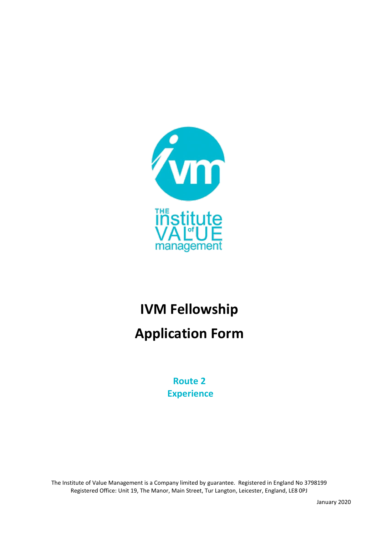

# **IVM Fellowship Application Form**

**Route 2 Experience**

The Institute of Value Management is a Company limited by guarantee. Registered in England No 3798199 Registered Office: Unit 19, The Manor, Main Street, Tur Langton, Leicester, England, LE8 0PJ

January 2020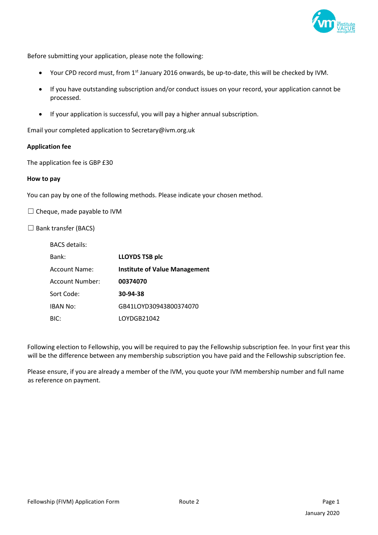

Before submitting your application, please note the following:

- Your CPD record must, from 1<sup>st</sup> January 2016 onwards, be up-to-date, this will be checked by IVM.
- If you have outstanding subscription and/or conduct issues on your record, your application cannot be processed.
- If your application is successful, you will pay a higher annual subscription.

Email your completed application to Secretary@ivm.org.uk

#### **Application fee**

The application fee is GBP £30

#### **How to pay**

You can pay by one of the following methods. Please indicate your chosen method.

 $\Box$  Cheque, made payable to IVM

 $\Box$  Bank transfer (BACS)

| <b>BACS</b> details: |                                      |
|----------------------|--------------------------------------|
| Bank:                | <b>LLOYDS TSB plc</b>                |
| Account Name:        | <b>Institute of Value Management</b> |
| Account Number:      | 00374070                             |
| Sort Code:           | 30-94-38                             |
| <b>IBAN No:</b>      | GB41LOYD30943800374070               |
| BIC:                 | LOYDGB21042                          |

Following election to Fellowship, you will be required to pay the Fellowship subscription fee. In your first year this will be the difference between any membership subscription you have paid and the Fellowship subscription fee.

Please ensure, if you are already a member of the IVM, you quote your IVM membership number and full name as reference on payment.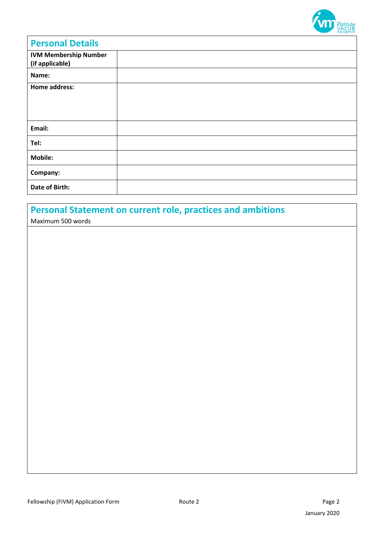

| <b>Personal Details</b>                         |  |
|-------------------------------------------------|--|
| <b>IVM Membership Number</b><br>(if applicable) |  |
| Name:                                           |  |
| <b>Home address:</b>                            |  |
| Email:                                          |  |
| Tel:                                            |  |
| <b>Mobile:</b>                                  |  |
| Company:                                        |  |
| Date of Birth:                                  |  |

# **Personal Statement on current role, practices and ambitions**

Maximum 500 words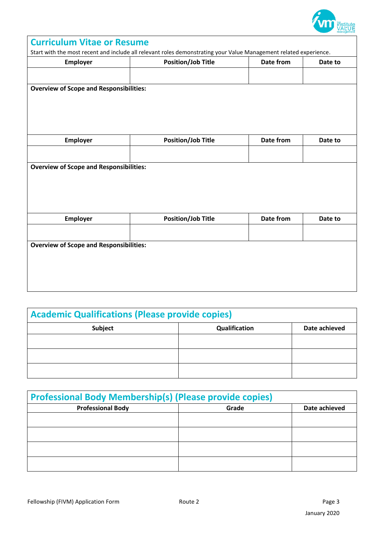

| <b>Curriculum Vitae or Resume</b>              |                                                                                                                   |           |         |
|------------------------------------------------|-------------------------------------------------------------------------------------------------------------------|-----------|---------|
|                                                | Start with the most recent and include all relevant roles demonstrating your Value Management related experience. |           |         |
| Employer                                       | <b>Position/Job Title</b>                                                                                         | Date from | Date to |
|                                                |                                                                                                                   |           |         |
| <b>Overview of Scope and Responsibilities:</b> |                                                                                                                   |           |         |
|                                                |                                                                                                                   |           |         |
| Employer                                       | <b>Position/Job Title</b>                                                                                         | Date from | Date to |
|                                                |                                                                                                                   |           |         |
| <b>Overview of Scope and Responsibilities:</b> |                                                                                                                   |           |         |
| <b>Employer</b>                                | <b>Position/Job Title</b>                                                                                         | Date from | Date to |
|                                                |                                                                                                                   |           |         |
| <b>Overview of Scope and Responsibilities:</b> |                                                                                                                   |           |         |

| <b>Academic Qualifications (Please provide copies)</b> |               |               |
|--------------------------------------------------------|---------------|---------------|
| <b>Subject</b>                                         | Qualification | Date achieved |
|                                                        |               |               |
|                                                        |               |               |
|                                                        |               |               |

| <b>Professional Body Membership(s) (Please provide copies)</b> |       |               |
|----------------------------------------------------------------|-------|---------------|
| <b>Professional Body</b>                                       | Grade | Date achieved |
|                                                                |       |               |
|                                                                |       |               |
|                                                                |       |               |
|                                                                |       |               |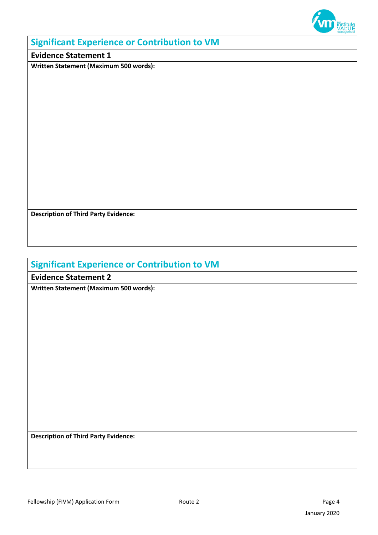

### **Significant Experience or Contribution to VM**

### **Evidence Statement 1**

**Written Statement (Maximum 500 words):**

**Description of Third Party Evidence:**

# **Significant Experience or Contribution to VM**

**Evidence Statement 2** 

**Written Statement (Maximum 500 words):**

**Description of Third Party Evidence:**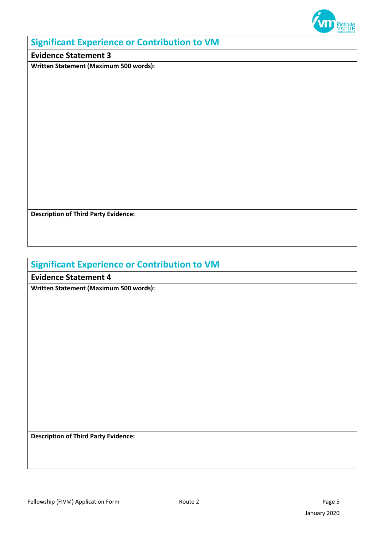

### **Significant Experience or Contribution to VM**

### **Evidence Statement 3**

**Written Statement (Maximum 500 words):**

**Description of Third Party Evidence:**

# **Significant Experience or Contribution to VM**

**Evidence Statement 4** 

**Written Statement (Maximum 500 words):**

**Description of Third Party Evidence:**